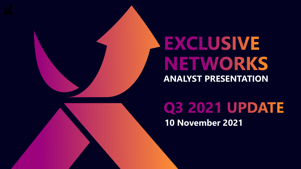## EXCLUSIVE NETWORKS **ANALYST PRESENTATION**

**Q3 2021 UPDATE 10 November 2021**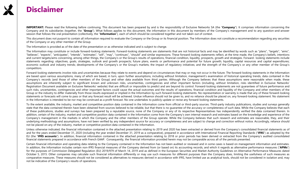

## **Disclaimer**

**IMPORTANT:** Please read the following before continuing. This document has been prepared by and is the responsibility of Exclusive Networks SA (the "**Company**"). It comprises information concerning the Company and its subsidiaries (together, the "**Group**"). What follows applies to this document, the information in this document by members of the Company's management and to any question-and-answer session that follows the oral presentation (collectively, the "**Information**"), each of which should be considered together and not taken out of context.

This document does not purport to contain all information required to evaluate the Company or the Group or its financial position. The Information does not constitute a recommendation regarding any securities of the Company or any other member of the Group.

The Information is provided as of the date of the presentation or as otherwise indicated and is subject to change.

The Information mav constitute or include forward-looking statements. Forward-looking statements are statements that are not historical facts and may be identified by words such as "plans", "targets", "aims", "believes", "expects", "anticipates", "intends", "estimates", "will", "may", "continues", "should" and similar expressions. These forward-looking statements reflect, at the time made, the Company's beliefs, intentions and current targets/aims concerning, among other things, the Company's or the Group's results of operations, financial condition, liquidity, prospects, growth and strategies. Forward- looking statements include statements regarding: objectives, goals, strategies, outlook and growth prospects; future plans, events or performance and potential for future growth; liquidity, capital resources and capital expenditures; economic outlook and industry trends; developments of the Company's or the Group's markets; the impact of regulatory initiatives; and the strength of the Company's or any other member of the Group's competitors.

Forward-looking statements involve risks and uncertainties because they relate to events and depend on circumstances that may or may not occur in the future. The forward-looking statements in the Information are based upon various assumptions, many of which are based, in turn, upon further assumptions, including without limitation, management's examination of historical operating trends, data contained in the Company's records (and those of other members of the Group) and other data available from third parties. Although the Company believes that these assumptions were reasonable when made, these assumptions are inherently subject to significant known and unknown risks, uncertainties, contingencies and other important factors (including, without limitation, risks identified in Exclusive Networks' Registration Document available on Exclusive Networks' website) that are difficult or impossible to predict and are beyond its control. Forward-looking statements are not quarantees of future performance and such risks, uncertainties, contingencies and other important factors could cause the actual outcomes and the results of operations, financial condition and liquidity of the Company and other members of the Group or the industry to differ materially from those results expressed or implied in the Information by such forward-looking statements. No representation or warranty is made that any of these forward-looking statements or forecasts will come to pass or that any forecast result will be achieved. Undue influence should not be given to, and no reliance should be placed on, any forward-looking statement. No statement in the Information is intended to be nor may be construed as a profit forecast. No one undertakes to publicly update or revise any forward-looking statements.

To the extent available, the industry, market and competitive position data contained in the Information come from official or third-party sources. Third-party industry publications, studies and surveys generally state that the data contained therein have been obtained from sources believed to be reliable, but that there is no quarantee of the accuracy or completeness of such data. While the Company believes that each of these publications, studies and surveys has been prepared by a reputable source, none of the Company or any of its respective Representatives has independently verified the data contained therein. In addition, certain of the industry, market and competitive position data contained in the Information come from the Company's own internal research and estimates based on the knowledge and experience of the Company's management in the markets in which the Company and the other members of the Group operate. While the Company believes that such research and estimates are reasonable, they, and their underlying methodology and assumptions, have not been verified by any independent source for accuracy or completeness and are subject to change and correction without notice. Accordingly, reliance should not be placed on any of the industry, market or competitive position data contained in the Information.

Unless otherwise indicated, the financial information contained in the attached presentation relating to 2019 and 2020 has been extracted or derived from the Company's consolidated financial statements as of and for the years ended December 31, 2020 (including the year ended December 31, 2019 as a comparative), prepared in accordance with International Financial Reporting Standards ("**IFRS**") as adopted by the EU (the "IFRS accounts"). In addition, financial information contained in the attached presentation relating to 2018 or prior periods has been derived or extracted from the Company's audited consolidated financial statements prepared in accordance with French GAAP. Consequently, the financial information provided herein may not be comparable across all of the periods presented.

Certain financial information and operating data relating to the Company contained in the Information has not been audited or reviewed and in some cases is based on management information and estimates. In addition, the Information includes certain non-IFRS financial measures of the Company derived from (or based on) its accounting records, and which it regards as alternative performance measures ("APMs") for the purposes of Commission Delegated Regulation (EU) 2019/979 of March 14, 2019 and as defined in the European Securities and Market Authority Guidelines on Alternative Performance Measures dated October 5, 2015. Other companies may calculate such financial information differently or may use such measures for different purposes than the Company does, limiting the usefulness of such measures as comparative measures. These measures should not be considered as alternatives to measures derived in accordance with IFRS, have limited use as analytical tools, should not be considered in isolation and, may not be indicative of the Company's results of operations.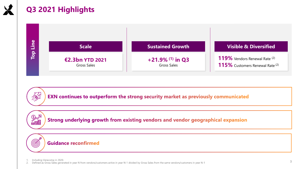

## Q3 2021 Highlights



EXN continues to outperform the strong security market as previously communicated

Strong underlying growth from existing vendors and vendor geographical expansion



Including Veracomp in 2020.

1891

着

Defined as Gross Sales generated in year N from vendors/customers active in year N-1 divided by Gross Sales from the same vendors/customers in year N-1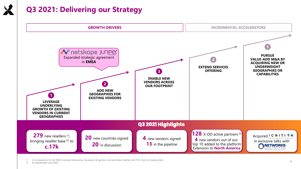

## **Q3 2021: Delivering our Strategy**



In comparison to Q3 2020 includes Veracomp, Nuaware, & Ignition and excludes Capital and ITEC due to missing data

 $2.$ At September-end 2021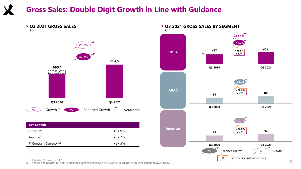

## **Gross Sales: Double Digit Growth in Line with Guidance**

**Q3 2021 GROSS SALES** €m **584,7 660.1 804,9**  $75.4$ **Q3 2020 Q3 2021 37.7% 21.9% 8** Growth <sup>(1)</sup> 8 % Reported Growth **COVER Veracomp** 

| <b>YoY Growth</b>                  |          |
|------------------------------------|----------|
| Growth <sup>(1)</sup>              | $+21.9%$ |
| Reported                           | +37.7%   |
| @ Constant Currency <sup>(2)</sup> | +37.5%   |



Including Veracomp in 2020

Variation at constant currency is computed using the third quarter of 2020 rates applied to the third quarter of 2021 revenue 2.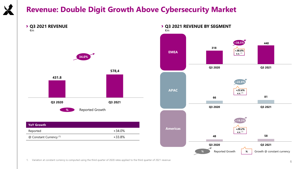

## **Revenue: Double Digit Growth Above Cybersecurity Market**



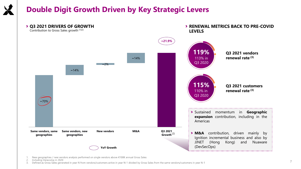

## **Double Digit Growth Driven by Key Strategic Levers**



New geographies / new vendors analysis performed on single vendors above €100K annual Gross Sales

Including Veracomp in 2020  $2.$ 

Defined as Gross Sales generated in year N from vendors/customers active in year N-1 divided by Gross Sales from the same vendors/customers in year N-1 3.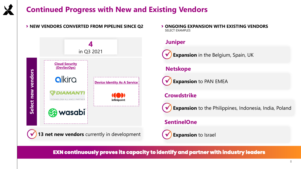## **Continued Progress with New and Existing Vendors**



**NEW VENDORS CONVERTED FROM PIPELINE SINCE Q2 DIGOING EXPANSION WITH EXISTING VENDORS** SELECT EXAMPLES

## **Juniper**

**Expansion** in the Belgium, Spain, UK

## **Netskope**



## **Crowdstrike**



**Expansion** to the Philippines, Indonesia, India, Poland

## **SentinelOne**



**EXN continuously proves its capacity to identify and partner with industry leaders**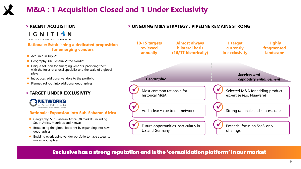

## **M&A : 1 Acquisition Closed and 1 Under Exclusivity**

## $C N I T$

### **Rationale: Establishing a dedicated proposition for emerging vendors**

- Acquired in July-21
- Geography: UK, Benelux & the Nordics
- Unique solution for emerging vendors, providing them with the focus of a local specialist and the scale of a global player
- Introduces additional vendors to the portfolio
- Planned roll-out into additional geographies

## **TARGET UNDER EXCLUSIVITY**



## **Rationale: Expansion into Sub-Saharan Africa**

- Geography: Sub-Saharan Africa (38 markets including South Africa, Mauritius and Kenya)
- $\bullet$  Broadening the global footprint by expanding into new geographies
- Enabling overlapping vendor portfolio to have access to more geographies





## **Exclusive has a strong reputation and is the 'consolidation platform' in our market**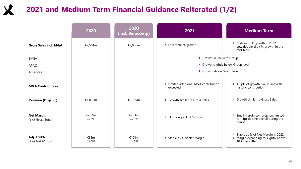

## **2021 and Medium Term Financial Guidance Reiterated (1/2)**

|                                       | 2020           | 2020<br>(incl. Veracomp) | 2021                                              | <b>Medium Term</b>                                                                            |  |
|---------------------------------------|----------------|--------------------------|---------------------------------------------------|-----------------------------------------------------------------------------------------------|--|
| <b>Gross Sales incl. M&amp;A</b>      | €2,564m        | €2,886m                  | > Low teens % growth                              | > Mid-teens % growth in 2022<br>> Low double-digit % growth in the<br>mid-term                |  |
| <b>EMEA</b>                           |                |                          | > Growth in line with Group                       |                                                                                               |  |
| APAC                                  |                |                          | > Growth slightly below Group level               |                                                                                               |  |
| Americas                              |                |                          | > Growth above Group level                        |                                                                                               |  |
| <b>M&amp;A Contribution</b>           |                |                          | > Limited additional M&A contribution<br>expected | > 1-2pts of growth p.a., in line with<br>historic contribution                                |  |
| <b>Revenue (Organic)</b>              | €1,892m        | €2,139m                  | > Growth similar to Gross Sales                   | > Growth similar to Gross Sales                                                               |  |
| <b>Net Margin</b><br>% of Gross Sales | €257m<br>10.0% | €293m<br>10.2%           | > High single digit % growth                      | > Small margin compression, limited<br>to $\sim$ 1pt decline overall during the<br>period     |  |
| Adj. EBITA<br>% of Net Margin         | €95m<br>37.0%  | €108m<br>37.0%           | > Stable as % of Net Margin                       | > Stable as % of Net Margin in 2022<br>> Margin expanding to slightly above<br>40% thereafter |  |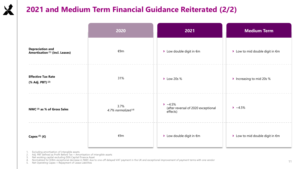

## 2021 and Medium Term Financial Guidance Reiterated (2/2)

|                                                                       | 2020                                   | 2021                                                                      | <b>Medium Term</b>                                            |  |
|-----------------------------------------------------------------------|----------------------------------------|---------------------------------------------------------------------------|---------------------------------------------------------------|--|
| <b>Depreciation and</b><br>Amortisation <sup>(1)</sup> (incl. Leases) | €9m                                    | $\blacktriangleright$ Low double digit in $\epsilon$ m                    | > Low to mid double digit in $\epsilon$ m                     |  |
| <b>Effective Tax Rate</b><br>(% Adj. PBT) (2)                         | 31%                                    | $\blacktriangleright$ Low 20s %                                           | > Increasing to mid 20s %                                     |  |
| NWC <sup>(3)</sup> as % of Gross Sales                                | 3.7%<br>4.7% normalized <sup>(4)</sup> | $\triangleright$ ~4.5%<br>(after reversal of 2020 exceptional<br>effects) | $\blacktriangleright \sim 4.5\%$                              |  |
| Capex $(5)$ ( $\epsilon$ )                                            | €9m                                    | $\blacktriangleright$ Low double digit in $\epsilon$ m                    | $\blacktriangleright$ Low to mid double digit in $\epsilon$ m |  |

1. Excluding amortisation of intangible assets<br>2. Adj. PBT defined as Profit Before Tax + Amortisation of intangible assets<br>3. Net working capital excluding EXN Capital Finance Asset<br>4. Normalized for €28m exceptional dec

5. Net Operating Capex + Repayment of Lease Liabilities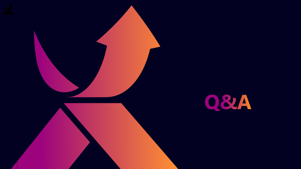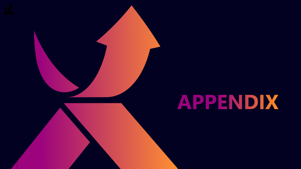# APPENDIX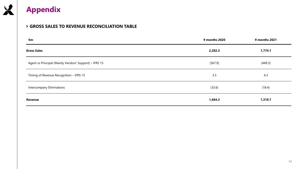![](_page_13_Picture_0.jpeg)

## **Appendix**

## **GROSS SALES TO REVENUE RECONCILIATION TABLE**

| €m                                                     | 9 months 2020 | 9 months 2021 |
|--------------------------------------------------------|---------------|---------------|
| <b>Gross Sales</b>                                     | 2,282.3       | 1,774.1       |
| Agent vs Principal (Mainly Vendors' Support) - IFRS 15 | (567.9)       | (449.3)       |
| Timing of Revenue Recognition - IFRS 15                | 3.5           | 4.3           |
| Intercompany Eliminations                              | (33.6)        | (18.4)        |
| <b>Revenue</b>                                         | 1,684.3       | 1,310.7       |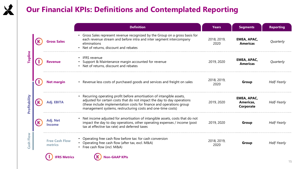![](_page_14_Picture_0.jpeg)

## **Our Financial KPIs: Definitions and Contemplated Reporting**

|                |                                  | <b>Definition</b>                                                                                                                                                                                                                                                                        | <b>Years</b>        | <b>Segments</b>                       | <b>Reporting</b> |
|----------------|----------------------------------|------------------------------------------------------------------------------------------------------------------------------------------------------------------------------------------------------------------------------------------------------------------------------------------|---------------------|---------------------------------------|------------------|
| <b>Topline</b> | <b>Gross Sales</b>               | • Gross Sales represent revenue recognized by the Group on a gross basis for<br>each revenue stream and before intra and inter segment intercompany<br>eliminations<br>Net of returns, discount and rebates                                                                              | 2018, 2019,<br>2020 |                                       | Quarterly        |
|                | <b>Revenue</b>                   | • IFRS revenue<br>Support & Maintenance margin accounted for revenue<br>• Net of returns, discount and rebates                                                                                                                                                                           | 2019, 2020          | EMEA, APAC,<br><b>Americas</b>        | Quarterly        |
| Profitability  | <b>Net margin</b>                | • Revenue less costs of purchased goods and services and freight on sales                                                                                                                                                                                                                | 2018, 2019,<br>2020 | Group                                 | Half-Yearly      |
|                | Adj. EBITA                       | • Recurring operating profit before amortisation of intangible assets,<br>adjusted for certain costs that do not impact the day to day operations<br>(these include implementation costs for finance and operations group<br>management systems, restructuring costs and one-time costs) | 2019, 2020          | EMEA, APAC,<br>Americas,<br>Corporate | Half-Yearly      |
|                | <b>Adj. Net</b><br><b>Income</b> | • Net income adjusted for amortisation of intangible assets, costs that do not<br>impact the day to day operations, other operating expenses / income (post<br>tax at effective tax rate) and deferred taxes                                                                             | 2019, 2020          | Group                                 | Half-Yearly      |
| Flow<br>Cash   | <b>Free Cash Flow</b><br>metrics | • Operating free cash flow before tax: for cash conversion<br>Operating free cash flow (after tax, excl. M&A)<br>• Free cash flow (incl. M&A)                                                                                                                                            | 2018, 2019,<br>2020 | Group                                 | Half-Yearly      |
|                | <b>IFRS Metrics</b>              | <b>Non-GAAP KPIs</b>                                                                                                                                                                                                                                                                     |                     |                                       |                  |